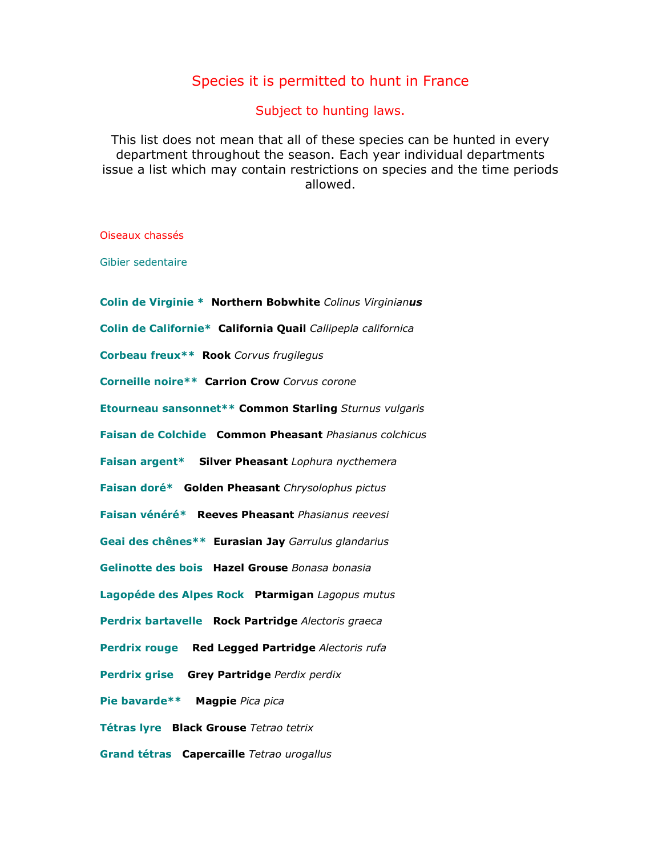## Species it is permitted to hunt in France

Subject to hunting laws.

This list does not mean that all of these species can be hunted in every department throughout the season. Each year individual departments issue a list which may contain restrictions on species and the time periods allowed.

Oiseaux chassés

Gibier sedentaire

Colin de Virginie \* Northern Bobwhite Colinus Virginianus Colin de Californie\* California Quail Callipepla californica Corbeau freux\*\* Rook Corvus frugilegus Corneille noire\*\* Carrion Crow Corvus corone Etourneau sansonnet\*\* Common Starling Sturnus vulgaris Faisan de Colchide Common Pheasant Phasianus colchicus Faisan argent\* Silver Pheasant Lophura nycthemera Faisan doré\* Golden Pheasant Chrysolophus pictus Faisan vénéré\* Reeves Pheasant Phasianus reevesi Geai des chênes\*\* Eurasian Jay Garrulus glandarius Gelinotte des bois Hazel Grouse Bonasa bonasia Lagopéde des Alpes Rock Ptarmigan Lagopus mutus Perdrix bartavelle Rock Partridge Alectoris graeca Perdrix rouge Red Legged Partridge Alectoris rufa Perdrix grise Grey Partridge Perdix perdix Pie bavarde\*\* Magpie Pica pica Tétras lyre Black Grouse Tetrao tetrix Grand tétras Capercaille Tetrao urogallus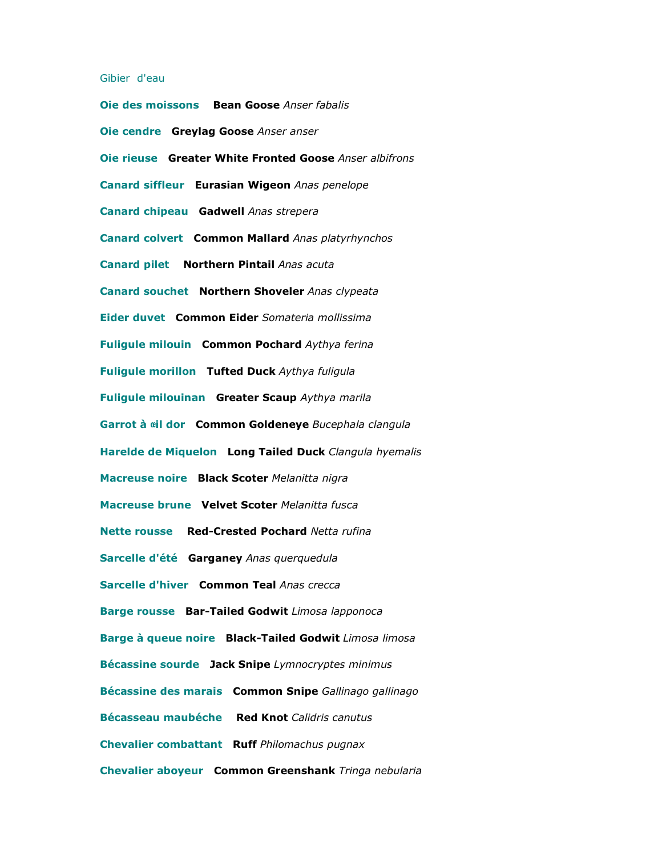## Gibier d'eau

Oie des moissons Bean Goose Anser fabalis Oie cendre Greylag Goose Anser anser Oie rieuse Greater White Fronted Goose Anser albifrons Canard siffleur Eurasian Wigeon Anas penelope Canard chipeau Gadwell Anas strepera Canard colvert Common Mallard Anas platyrhynchos Canard pilet Northern Pintail Anas acuta Canard souchet Northern Shoveler Anas clypeata Eider duvet Common Eider Somateria mollissima Fuligule milouin Common Pochard Aythya ferina Fuligule morillon Tufted Duck Aythya fuligula Fuligule milouinan Greater Scaup Aythya marila Garrot à cil dor Common Goldeneye Bucephala clangula Harelde de Miquelon Long Tailed Duck Clangula hyemalis Macreuse noire Black Scoter Melanitta nigra Macreuse brune Velvet Scoter Melanitta fusca Nette rousse Red-Crested Pochard Netta rufina Sarcelle d'été Garganey Anas querquedula Sarcelle d'hiver Common Teal Anas crecca Barge rousse Bar-Tailed Godwit Limosa lapponoca Barge à queue noire Black-Tailed Godwit Limosa limosa Bécassine sourde Jack Snipe Lymnocryptes minimus Bécassine des marais Common Snipe Gallinago gallinago Bécasseau maubéche Red Knot Calidris canutus Chevalier combattant Ruff Philomachus pugnax Chevalier aboyeur Common Greenshank Tringa nebularia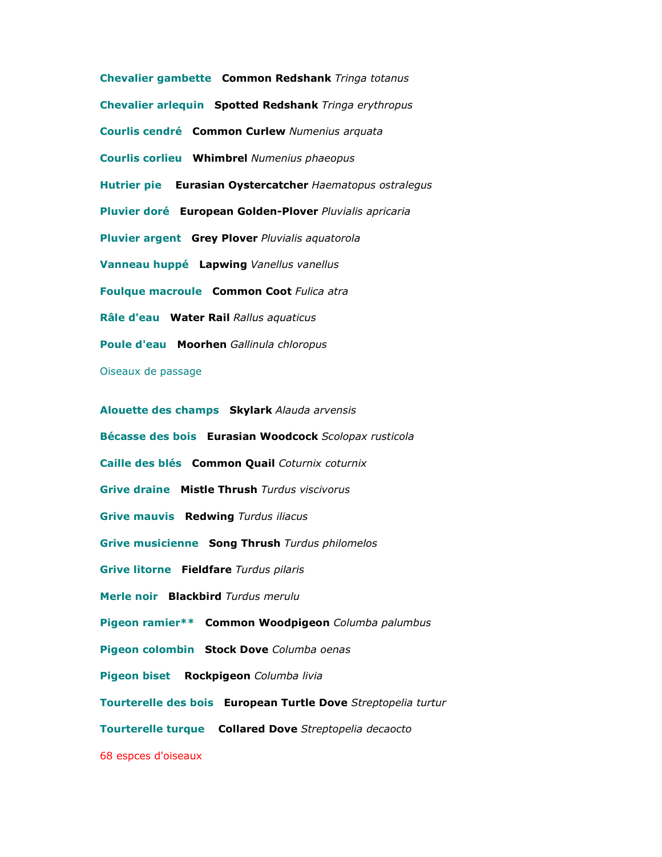Chevalier gambette Common Redshank Tringa totanus Chevalier arlequin Spotted Redshank Tringa erythropus Courlis cendré Common Curlew Numenius arquata Courlis corlieu Whimbrel Numenius phaeopus Hutrier pie Eurasian Oystercatcher Haematopus ostralegus Pluvier doré European Golden-Plover Pluvialis apricaria Pluvier argent Grey Plover Pluvialis aquatorola Vanneau huppé Lapwing Vanellus vanellus Foulque macroule Common Coot Fulica atra Râle d'eau Water Rail Rallus aquaticus Poule d'eau Moorhen Gallinula chloropus Oiseaux de passage

Alouette des champs Skylark Alauda arvensis Bécasse des bois Eurasian Woodcock Scolopax rusticola Caille des blés Common Quail Coturnix coturnix Grive draine Mistle Thrush Turdus viscivorus Grive mauvis Redwing Turdus iliacus Grive musicienne Song Thrush Turdus philomelos Grive litorne Fieldfare Turdus pilaris Merle noir Blackbird Turdus merulu Pigeon ramier\*\* Common Woodpigeon Columba palumbus Pigeon colombin Stock Dove Columba oenas Pigeon biset Rockpigeon Columba livia Tourterelle des bois European Turtle Dove Streptopelia turtur Tourterelle turque Collared Dove Streptopelia decaocto

68 espces d'oiseaux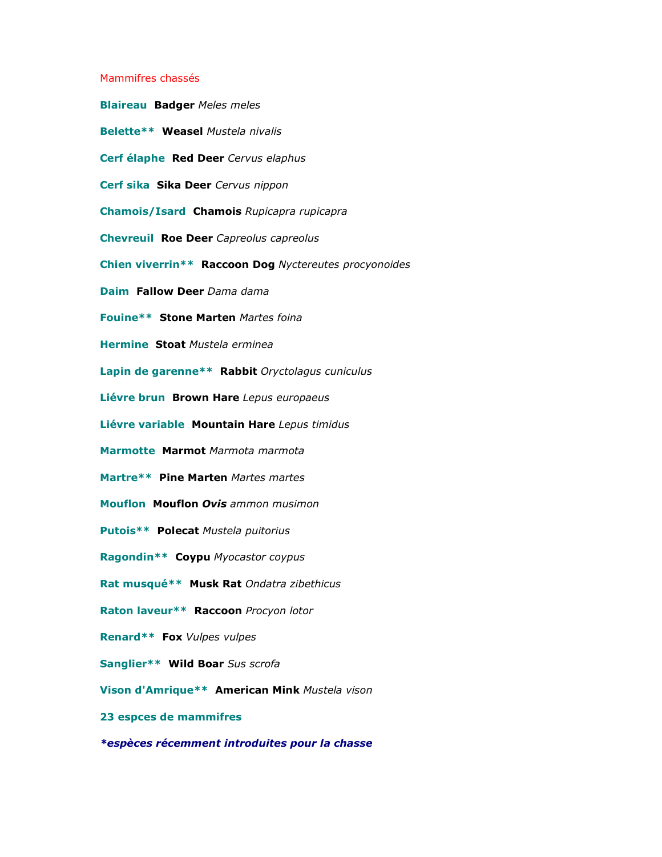## Mammifres chassés

Blaireau Badger Meles meles Belette\*\* Weasel Mustela nivalis Cerf élaphe Red Deer Cervus elaphus Cerf sika Sika Deer Cervus nippon Chamois/Isard Chamois Rupicapra rupicapra Chevreuil Roe Deer Capreolus capreolus Chien viverrin\*\* Raccoon Dog Nyctereutes procyonoides Daim Fallow Deer Dama dama Fouine\*\* Stone Marten Martes foina Hermine Stoat Mustela erminea Lapin de garenne\*\* Rabbit Oryctolagus cuniculus Liévre brun Brown Hare Lepus europaeus Liévre variable Mountain Hare Lepus timidus Marmotte Marmot Marmota marmota Martre\*\* Pine Marten Martes martes Mouflon Mouflon Ovis ammon musimon Putois\*\* Polecat Mustela puitorius Ragondin\*\* Coypu Myocastor coypus Rat musqué\*\* Musk Rat Ondatra zibethicus Raton laveur\*\* Raccoon Procyon lotor Renard\*\* Fox Vulpes vulpes Sanglier\*\* Wild Boar Sus scrofa Vison d'Amrique\*\* American Mink Mustela vison 23 espces de mammifres

\*espèces récemment introduites pour la chasse